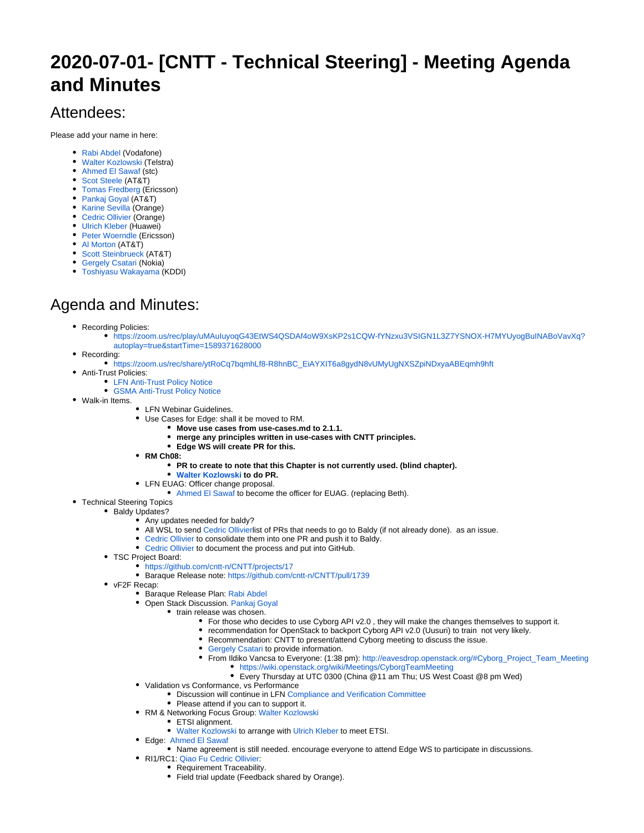## **2020-07-01- [CNTT - Technical Steering] - Meeting Agenda and Minutes**

## Attendees:

Please add your name in here:

- [Rabi Abdel](https://wiki.lfnetworking.org/display/~rabi_abdel) (Vodafone)
- [Walter Kozlowski](https://wiki.lfnetworking.org/display/~Walter_Kozlowski) (Telstra)
- [Ahmed El Sawaf](https://wiki.lfnetworking.org/display/~AhmedSawaf) (stc)
- [Scot Steele](https://wiki.lfnetworking.org/display/~ss8171) (AT&T)
- [Tomas Fredberg](https://wiki.lfnetworking.org/display/~TFredberg) (Ericsson)
- [Pankaj Goyal](https://wiki.lfnetworking.org/display/~pgoyal) (AT&T)
- [Karine Sevilla](https://wiki.lfnetworking.org/display/~KSevilla) (Orange)
- [Cedric Ollivier](https://wiki.lfnetworking.org/display/~ollivier) (Orange)
- [Ulrich Kleber](https://wiki.lfnetworking.org/display/~ulik) (Huawei)
- [Peter Woerndle](https://wiki.lfnetworking.org/display/~pwoerndle) (Ericsson)
- [Al Morton](https://wiki.lfnetworking.org/display/~acm) (AT&T)
- [Scott Steinbrueck](https://wiki.lfnetworking.org/display/~ScottSteinbrueck) (AT&T)
- [Gergely Csatari](https://wiki.lfnetworking.org/display/~csatari) (Nokia)
- [Toshiyasu Wakayama](https://wiki.lfnetworking.org/display/~ToshiWakayama-KDDI) (KDDI)

## Agenda and Minutes:

- Recording Policies:
	- [https://zoom.us/rec/play/uMAuIuyoqG43EtWS4QSDAf4oW9XsKP2s1CQW-fYNzxu3VSIGN1L3Z7YSNOX-H7MYUyogBuINABoVavXq?](https://zoom.us/rec/play/uMAuIuyoqG43EtWS4QSDAf4oW9XsKP2s1CQW-fYNzxu3VSIGN1L3Z7YSNOX-H7MYUyogBuINABoVavXq?autoplay=true&startTime=1589371628000) [autoplay=true&startTime=1589371628000](https://zoom.us/rec/play/uMAuIuyoqG43EtWS4QSDAf4oW9XsKP2s1CQW-fYNzxu3VSIGN1L3Z7YSNOX-H7MYUyogBuINABoVavXq?autoplay=true&startTime=1589371628000)
- Recording:
- [https://zoom.us/rec/share/ytRoCq7bqmhLf8-R8hnBC\\_EiAYXIT6a8gydN8vUMyUgNXSZpiNDxyaABEqmh9hft](https://zoom.us/rec/share/ytRoCq7bqmhLf8-R8hnBC_EiAYXIT6a8gydN8vUMyUgNXSZpiNDxyaABEqmh9hft)
- Anti-Trust Policies:
	- [LFN Anti-Trust Policy Notice](https://r.lfnetworking.org/Antitrust%20Slide.pdf)
	- [GSMA Anti-Trust Policy Notice](https://raw.githubusercontent.com/cntt-n/CNTT/master/Anti-Trust_Notice_GSMA_20190911.png)
- Walk-in Items.
	- LFN Webinar Guidelines.
	- Use Cases for Edge: shall it be moved to RM.
		- **Move use cases from use-cases.md to 2.1.1.**
		- **merge any principles written in use-cases with CNTT principles.**
		- **Edge WS will create PR for this.**
	- **RM Ch08:**
		- **PR to create to note that this Chapter is not currently used. (blind chapter).**
		- **[Walter Kozlowski](https://wiki.lfnetworking.org/display/~Walter_Kozlowski) to do PR.**
	- LFN EUAG: Officer change proposal.
		- [Ahmed El Sawaf](https://wiki.lfnetworking.org/display/~AhmedSawaf) to become the officer for EUAG. (replacing Beth).
- Technical Steering Topics
	- Baldy Updates?
		- Any updates needed for baldy?
		- All WSL to send [Cedric Ollivier](https://wiki.lfnetworking.org/display/~ollivier)list of PRs that needs to go to Baldy (if not already done). as an issue.
		- [Cedric Ollivier](https://wiki.lfnetworking.org/display/~ollivier) to consolidate them into one PR and push it to Baldy.
		- [Cedric Ollivier](https://wiki.lfnetworking.org/display/~ollivier) to document the process and put into GitHub.
	- TSC Project Board:
		- <https://github.com/cntt-n/CNTT/projects/17>
		- Baraque Release note: <https://github.com/cntt-n/CNTT/pull/1739>
	- vF2F Recap:
		- Baraque Release Plan: [Rabi Abdel](https://wiki.lfnetworking.org/display/~rabi_abdel)
		- Open Stack Discussion. [Pankaj Goyal](https://wiki.lfnetworking.org/display/~pgoyal)
			- train release was chosen.
				- For those who decides to use Cyborg API v2.0 , they will make the changes themselves to support it.
				- recommendation for OpenStack to backport Cyborg API v2.0 (Uusuri) to train not very likely.
				- Recommendation: CNTT to present/attend Cyborg meeting to discuss the issue.
				- [Gergely Csatari](https://wiki.lfnetworking.org/display/~csatari) to provide information.
				- From Ildiko Vancsa to Everyone: (1:38 pm): [http://eavesdrop.openstack.org/#Cyborg\\_Project\\_Team\\_Meeting](http://eavesdrop.openstack.org/#Cyborg_Project_Team_Meeting) <https://wiki.openstack.org/wiki/Meetings/CyborgTeamMeeting>
					- Every Thursday at UTC 0300 (China @11 am Thu; US West Coast @8 pm Wed)
		- Validation vs Conformance, vs Performance
			- **Discussion will continue in LFN [Compliance and Verification Committee](https://wiki.lfnetworking.org/display/LN/Compliance+and+Verification+Committee)**
			- Please attend if you can to support it.
		- RM & Networking Focus Group: [Walter Kozlowski](https://wiki.lfnetworking.org/display/~Walter_Kozlowski)
			- ETSI alignment.
			- [Walter Kozlowski](https://wiki.lfnetworking.org/display/~Walter_Kozlowski) to arrange with [Ulrich Kleber](https://wiki.lfnetworking.org/display/~ulik) to meet ETSI.
		- Edge: [Ahmed El Sawaf](https://wiki.lfnetworking.org/display/~AhmedSawaf)
			- Name agreement is still needed. encourage everyone to attend Edge WS to participate in discussions.
			- RI1/RC1: [Qiao Fu](https://wiki.lfnetworking.org/display/~fuqiao) [Cedric Ollivier](https://wiki.lfnetworking.org/display/~ollivier):
				- Requirement Traceability.
				- Field trial update (Feedback shared by Orange).